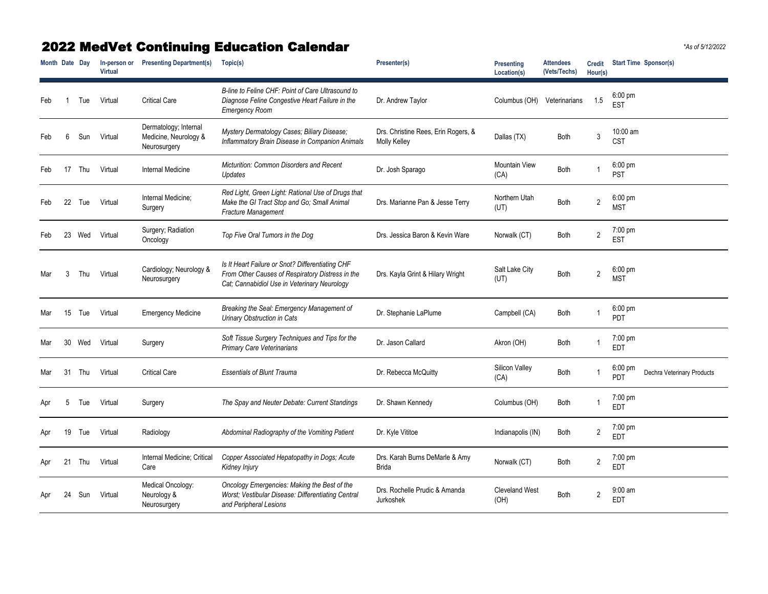## 2022 MedVet Continuing Education Calendar *\*As of 5/12/2022*

| Month Date Day |    |     | In-person or<br><b>Virtual</b> | <b>Presenting Department(s)</b>                                | Topic(s)                                                                                                                                             | Presenter(s)                                        | <b>Presenting</b><br>Location(s) | <b>Attendees</b><br>(Vets/Techs) | <b>Credit</b><br>Hour(s) | <b>Start Time Sponsor(s)</b>                           |
|----------------|----|-----|--------------------------------|----------------------------------------------------------------|------------------------------------------------------------------------------------------------------------------------------------------------------|-----------------------------------------------------|----------------------------------|----------------------------------|--------------------------|--------------------------------------------------------|
| Feb            |    | Tue | Virtual                        | <b>Critical Care</b>                                           | B-line to Feline CHF: Point of Care Ultrasound to<br>Diagnose Feline Congestive Heart Failure in the<br><b>Emergency Room</b>                        | Dr. Andrew Taylor                                   | Columbus (OH)                    | Veterinarians                    | 1.5                      | $6:00 \text{ pm}$<br><b>EST</b>                        |
| Feb            | 6  | Sun | Virtual                        | Dermatology; Internal<br>Medicine, Neurology &<br>Neurosurgery | Mystery Dermatology Cases; Biliary Disease;<br>Inflammatory Brain Disease in Companion Animals                                                       | Drs. Christine Rees, Erin Rogers, &<br>Molly Kelley | Dallas (TX)                      | <b>Both</b>                      | 3                        | 10:00 am<br><b>CST</b>                                 |
| Feb            | 17 | Thu | Virtual                        | <b>Internal Medicine</b>                                       | <b>Micturition: Common Disorders and Recent</b><br>Updates                                                                                           | Dr. Josh Sparago                                    | <b>Mountain View</b><br>(CA)     | <b>Both</b>                      |                          | $6:00 \text{ pm}$<br><b>PST</b>                        |
| Feb            | 22 | Tue | Virtual                        | Internal Medicine;<br>Surgery                                  | Red Light, Green Light: Rational Use of Drugs that<br>Make the GI Tract Stop and Go; Small Animal<br>Fracture Management                             | Drs. Marianne Pan & Jesse Terry                     | Northern Utah<br>(UT)            | <b>Both</b>                      | $\overline{2}$           | $6:00 \text{ pm}$<br><b>MST</b>                        |
| Feb            | 23 | Wed | Virtual                        | Surgery; Radiation<br>Oncology                                 | Top Five Oral Tumors in the Dog                                                                                                                      | Drs. Jessica Baron & Kevin Ware                     | Norwalk (CT)                     | <b>Both</b>                      | $\overline{2}$           | 7:00 pm<br><b>EST</b>                                  |
| Mar            |    | Thu | Virtual                        | Cardiology; Neurology &<br>Neurosurgery                        | Is It Heart Failure or Snot? Differentiating CHF<br>From Other Causes of Respiratory Distress in the<br>Cat; Cannabidiol Use in Veterinary Neurology | Drs. Kayla Grint & Hilary Wright                    | Salt Lake City<br>(UT)           | <b>Both</b>                      | $\overline{2}$           | $6:00 \text{ pm}$<br><b>MST</b>                        |
| Mar            | 15 | Tue | Virtual                        | <b>Emergency Medicine</b>                                      | Breaking the Seal: Emergency Management of<br><b>Urinary Obstruction in Cats</b>                                                                     | Dr. Stephanie LaPlume                               | Campbell (CA)                    | <b>Both</b>                      |                          | $6:00 \text{ pm}$<br>PDT                               |
| Mar            | 30 | Wed | Virtual                        | Surgery                                                        | Soft Tissue Surgery Techniques and Tips for the<br><b>Primary Care Veterinarians</b>                                                                 | Dr. Jason Callard                                   | Akron (OH)                       | <b>Both</b>                      |                          | 7:00 pm<br><b>EDT</b>                                  |
| Mar            | 31 | Thu | Virtual                        | <b>Critical Care</b>                                           | <b>Essentials of Blunt Trauma</b>                                                                                                                    | Dr. Rebecca McQuitty                                | Silicon Valley<br>(CA)           | <b>Both</b>                      |                          | $6:00 \text{ pm}$<br>Dechra Veterinary Products<br>PDT |
| Apr            |    | Tue | Virtual                        | Surgery                                                        | The Spay and Neuter Debate: Current Standings                                                                                                        | Dr. Shawn Kennedy                                   | Columbus (OH)                    | <b>Both</b>                      |                          | 7:00 pm<br><b>EDT</b>                                  |
| Apr            |    | Tue | Virtual                        | Radiology                                                      | Abdominal Radiography of the Vomiting Patient                                                                                                        | Dr. Kyle Vititoe                                    | Indianapolis (IN)                | Both                             | $\overline{2}$           | 7:00 pm<br><b>EDT</b>                                  |
| Apr            | 21 | Thu | Virtual                        | Internal Medicine; Critical<br>Care                            | Copper Associated Hepatopathy in Dogs; Acute<br>Kidney Injury                                                                                        | Drs. Karah Burns DeMarle & Amy<br><b>Brida</b>      | Norwalk (CT)                     | <b>Both</b>                      | $\overline{2}$           | 7:00 pm<br><b>EDT</b>                                  |
| Apr            |    | Sun | Virtual                        | Medical Oncology:<br>Neurology &<br>Neurosurgery               | Oncology Emergencies: Making the Best of the<br>Worst; Vestibular Disease: Differentiating Central<br>and Peripheral Lesions                         | Drs. Rochelle Prudic & Amanda<br>Jurkoshek          | <b>Cleveland West</b><br>(OH)    | Both                             | $\overline{2}$           | $9:00$ am<br><b>EDT</b>                                |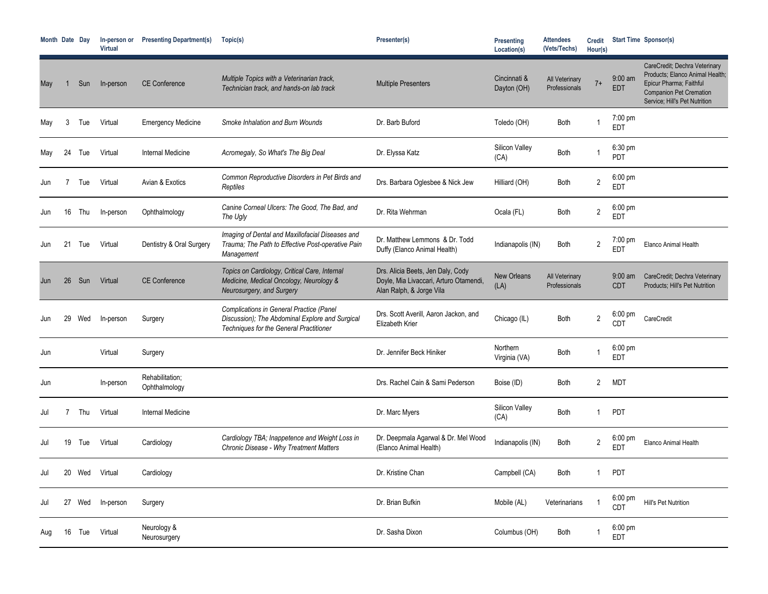| Month Date Day |    |     | In-person or<br><b>Virtual</b> | <b>Presenting Department(s)</b>  | Topic(s)                                                                                                                                             | Presenter(s)                                                                                            | Presenting<br>Location(s)     | <b>Attendees</b><br>(Vets/Techs) | <b>Credit</b><br>Hour(s) |                                      | <b>Start Time Sponsor(s)</b>                                                                                                                                   |
|----------------|----|-----|--------------------------------|----------------------------------|------------------------------------------------------------------------------------------------------------------------------------------------------|---------------------------------------------------------------------------------------------------------|-------------------------------|----------------------------------|--------------------------|--------------------------------------|----------------------------------------------------------------------------------------------------------------------------------------------------------------|
| May            |    | Sun | In-person                      | <b>CE Conference</b>             | Multiple Topics with a Veterinarian track,<br>Technician track, and hands-on lab track                                                               | <b>Multiple Presenters</b>                                                                              | Cincinnati &<br>Dayton (OH)   | All Veterinary<br>Professionals  | $7+$                     | $9:00$ am<br><b>EDT</b>              | CareCredit; Dechra Veterinary<br>Products; Elanco Animal Health;<br>Epicur Pharma; Faithful<br><b>Companion Pet Cremation</b><br>Service; Hill's Pet Nutrition |
| May            | 3  | Tue | Virtual                        | <b>Emergency Medicine</b>        | Smoke Inhalation and Burn Wounds                                                                                                                     | Dr. Barb Buford                                                                                         | Toledo (OH)                   | <b>Both</b>                      |                          | 7:00 pm<br><b>EDT</b>                |                                                                                                                                                                |
| May            | 24 | Tue | Virtual                        | <b>Internal Medicine</b>         | Acromegaly, So What's The Big Deal                                                                                                                   | Dr. Elyssa Katz                                                                                         | <b>Silicon Valley</b><br>(CA) | <b>Both</b>                      |                          | 6:30 pm<br><b>PDT</b>                |                                                                                                                                                                |
| Jun            |    | Tue | Virtual                        | Avian & Exotics                  | Common Reproductive Disorders in Pet Birds and<br>Reptiles                                                                                           | Drs. Barbara Oglesbee & Nick Jew                                                                        | Hilliard (OH)                 | Both                             | $\overline{2}$           | 6:00 pm<br><b>EDT</b>                |                                                                                                                                                                |
| Jun            | 16 | Thu | In-person                      | Ophthalmology                    | Canine Corneal Ulcers: The Good, The Bad, and<br>The Ugly                                                                                            | Dr. Rita Wehrman                                                                                        | Ocala (FL)                    | Both                             | $\overline{2}$           | $6:00 \text{ pm}$<br><b>EDT</b>      |                                                                                                                                                                |
|                |    | Tue | Virtual                        | Dentistry & Oral Surgery         | Imaging of Dental and Maxillofacial Diseases and<br>Trauma; The Path to Effective Post-operative Pain<br>Management                                  | Dr. Matthew Lemmons & Dr. Todd<br>Duffy (Elanco Animal Health)                                          | Indianapolis (IN)             | Both                             | $\overline{2}$           | $7:00 \text{ pm}$<br><b>EDT</b>      | Elanco Animal Health                                                                                                                                           |
| Jun            | 26 | Sun | Virtual                        | <b>CE Conference</b>             | Topics on Cardiology, Critical Care, Internal<br>Medicine, Medical Oncology, Neurology &<br>Neurosurgery, and Surgery                                | Drs. Alicia Beets, Jen Daly, Cody<br>Doyle, Mia Livaccari, Arturo Otamendi,<br>Alan Ralph, & Jorge Vila | New Orleans<br>(LA)           | All Veterinary<br>Professionals  |                          | $9:00$ am<br><b>CDT</b>              | CareCredit; Dechra Veterinary<br>Products; Hill's Pet Nutrition                                                                                                |
| Jun            | 29 | Wed | In-person                      | Surgery                          | <b>Complications in General Practice (Panel</b><br>Discussion); The Abdominal Explore and Surgical<br><b>Techniques for the General Practitioner</b> | Drs. Scott Averill, Aaron Jackon, and<br>Elizabeth Krier                                                | Chicago (IL)                  | Both                             | $2^{\circ}$              | $6:00 \text{ pm}$<br>CD <sub>1</sub> | CareCredit                                                                                                                                                     |
| Jun            |    |     | Virtual                        | Surgery                          |                                                                                                                                                      | Dr. Jennifer Beck Hiniker                                                                               | Northern<br>Virginia (VA)     | Both                             |                          | $6:00 \text{ pm}$<br><b>EDT</b>      |                                                                                                                                                                |
| Jun            |    |     | In-person                      | Rehabilitation;<br>Ophthalmology |                                                                                                                                                      | Drs. Rachel Cain & Sami Pederson                                                                        | Boise (ID)                    | Both                             | $\overline{2}$           | <b>MDT</b>                           |                                                                                                                                                                |
| Jul            |    | Thu | Virtual                        | <b>Internal Medicine</b>         |                                                                                                                                                      | Dr. Marc Myers                                                                                          | <b>Silicon Valley</b><br>(CA) | <b>Both</b>                      |                          | PDT                                  |                                                                                                                                                                |
| Jul            | 19 | Tue | Virtual                        | Cardiology                       | Cardiology TBA; Inappetence and Weight Loss in<br><b>Chronic Disease - Why Treatment Matters</b>                                                     | Dr. Deepmala Agarwal & Dr. Mel Wood<br>(Elanco Animal Health)                                           | Indianapolis (IN)             | Both                             | $\overline{2}$           | $6:00 \text{ pm}$<br><b>EDT</b>      | Elanco Animal Health                                                                                                                                           |
| Jul            | 20 | Wed | Virtual                        | Cardiology                       |                                                                                                                                                      | Dr. Kristine Chan                                                                                       | Campbell (CA)                 | Both                             |                          | <b>PDT</b>                           |                                                                                                                                                                |
| Jul            | 27 | Wed | In-person                      | Surgery                          |                                                                                                                                                      | Dr. Brian Bufkin                                                                                        | Mobile (AL)                   | Veterinarians                    |                          | $6:00 \text{ pm}$<br><b>CDT</b>      | Hill's Pet Nutrition                                                                                                                                           |
| Aug            | 16 | Tue | Virtual                        | Neurology &<br>Neurosurgery      |                                                                                                                                                      | Dr. Sasha Dixon                                                                                         | Columbus (OH)                 | Both                             |                          | 6:00 pm<br><b>EDT</b>                |                                                                                                                                                                |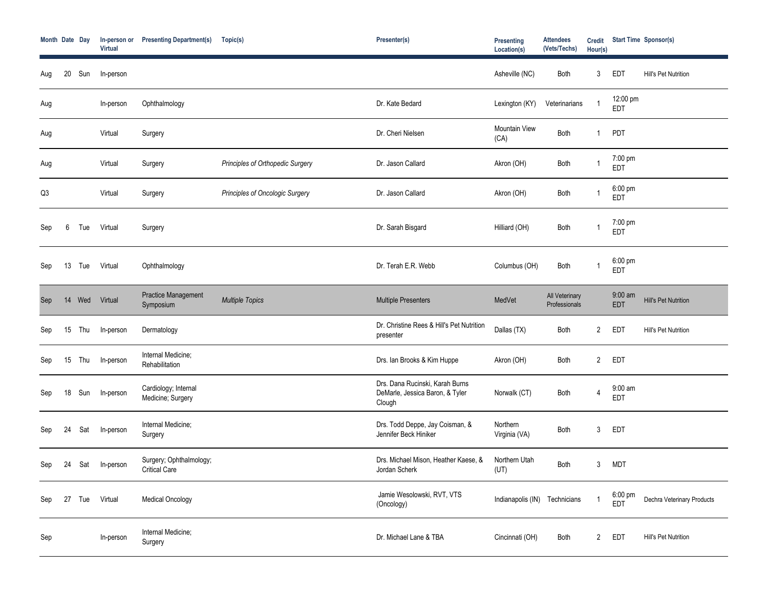| Month Date Day |    |        | In-person or<br><b>Virtual</b> | <b>Presenting Department(s)</b>                 | Topic(s)                                | Presenter(s)                                                                 | <b>Presenting</b><br>Location(s) | <b>Attendees</b><br>(Vets/Techs) | <b>Credit</b><br>Hour(s) |                                 | <b>Start Time Sponsor(s)</b> |
|----------------|----|--------|--------------------------------|-------------------------------------------------|-----------------------------------------|------------------------------------------------------------------------------|----------------------------------|----------------------------------|--------------------------|---------------------------------|------------------------------|
| Aug            | 20 | Sun    | In-person                      |                                                 |                                         |                                                                              | Asheville (NC)                   | <b>Both</b>                      | $\mathbf{3}$             | <b>EDT</b>                      | Hill's Pet Nutrition         |
| Aug            |    |        | In-person                      | Ophthalmology                                   |                                         | Dr. Kate Bedard                                                              | Lexington (KY)                   | Veterinarians                    |                          | 12:00 pm<br>EDT                 |                              |
| Aug            |    |        | Virtual                        | Surgery                                         |                                         | Dr. Cheri Nielsen                                                            | <b>Mountain View</b><br>(CA)     | Both                             |                          | <b>PDT</b>                      |                              |
| Aug            |    |        | Virtual                        | Surgery                                         | <b>Principles of Orthopedic Surgery</b> | Dr. Jason Callard                                                            | Akron (OH)                       | Both                             |                          | 7:00 pm<br>EDT                  |                              |
| Q3             |    |        | Virtual                        | Surgery                                         | Principles of Oncologic Surgery         | Dr. Jason Callard                                                            | Akron (OH)                       | Both                             |                          | 6:00 pm<br><b>EDT</b>           |                              |
| Sep            | 6  | Tue    | Virtual                        | Surgery                                         |                                         | Dr. Sarah Bisgard                                                            | Hilliard (OH)                    | <b>Both</b>                      |                          | 7:00 pm<br><b>EDT</b>           |                              |
| Sep            | 13 | Tue    | Virtual                        | Ophthalmology                                   |                                         | Dr. Terah E.R. Webb                                                          | Columbus (OH)                    | <b>Both</b>                      |                          | $6:00 \text{ pm}$<br><b>EDT</b> |                              |
| Sep            |    | 14 Wed | Virtual                        | <b>Practice Management</b><br>Symposium         | <b>Multiple Topics</b>                  | <b>Multiple Presenters</b>                                                   | MedVet                           | All Veterinary<br>Professionals  |                          | 9:00 am<br><b>EDT</b>           | <b>Hill's Pet Nutrition</b>  |
| Sep            | 15 | Thu    | In-person                      | Dermatology                                     |                                         | Dr. Christine Rees & Hill's Pet Nutrition<br>presenter                       | Dallas (TX)                      | Both                             | $2^{\circ}$              | <b>EDT</b>                      | Hill's Pet Nutrition         |
| Sep            | 15 | Thu    | In-person                      | Internal Medicine;<br>Rehabilitation            |                                         | Drs. Ian Brooks & Kim Huppe                                                  | Akron (OH)                       | <b>Both</b>                      | $2^{\circ}$              | <b>EDT</b>                      |                              |
| Sep            | 18 | Sun    | In-person                      | Cardiology; Internal<br>Medicine; Surgery       |                                         | Drs. Dana Rucinski, Karah Burns<br>DeMarle, Jessica Baron, & Tyler<br>Clough | Norwalk (CT)                     | Both                             | $\overline{4}$           | $9:00$ am<br><b>EDT</b>         |                              |
| Sep            | 24 | Sat    | In-person                      | Internal Medicine;<br>Surgery                   |                                         | Drs. Todd Deppe, Jay Coisman, &<br>Jennifer Beck Hiniker                     | Northern<br>Virginia (VA)        | <b>Both</b>                      | 3 <sup>1</sup>           | <b>EDT</b>                      |                              |
| Sep            | 24 | Sat    | In-person                      | Surgery; Ophthalmology;<br><b>Critical Care</b> |                                         | Drs. Michael Mison, Heather Kaese, &<br>Jordan Scherk                        | Northern Utah<br>(UT)            | Both                             | 3                        | <b>MDT</b>                      |                              |
| Sep            | 27 | Tue    | Virtual                        | <b>Medical Oncology</b>                         |                                         | Jamie Wesolowski, RVT, VTS<br>(Oncology)                                     | Indianapolis (IN) Technicians    |                                  |                          | 6:00 pm<br><b>EDT</b>           | Dechra Veterinary Products   |
| Sep            |    |        | In-person                      | Internal Medicine;<br>Surgery                   |                                         | Dr. Michael Lane & TBA                                                       | Cincinnati (OH)                  | Both                             | 2 <sup>1</sup>           | <b>EDT</b>                      | Hill's Pet Nutrition         |